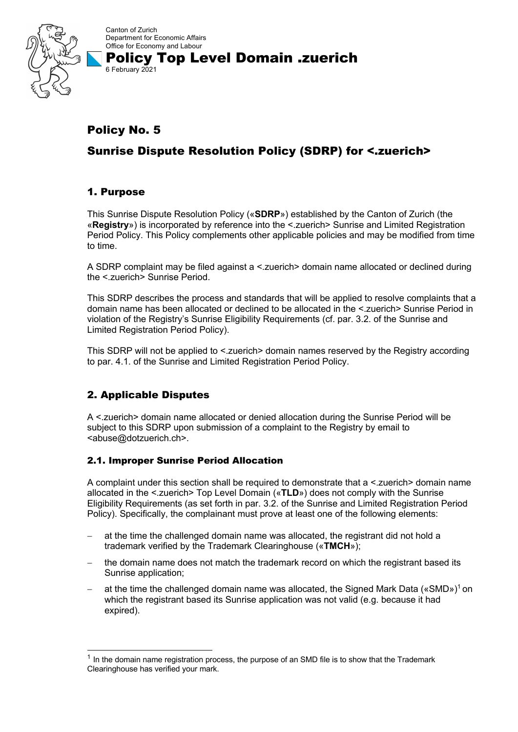

Canton of Zurich Department for Economic Affairs Office for Economy and Labour Policy Top Level Domain .zuerich

## Policy No. 5

6 February 2021

# Sunrise Dispute Resolution Policy (SDRP) for <.zuerich>

## 1. Purpose

This Sunrise Dispute Resolution Policy («**SDRP**») established by the Canton of Zurich (the «**Registry**») is incorporated by reference into the <.zuerich> Sunrise and Limited Registration Period Policy. This Policy complements other applicable policies and may be modified from time to time.

A SDRP complaint may be filed against a <.zuerich> domain name allocated or declined during the <.zuerich> Sunrise Period.

This SDRP describes the process and standards that will be applied to resolve complaints that a domain name has been allocated or declined to be allocated in the <.zuerich> Sunrise Period in violation of the Registry's Sunrise Eligibility Requirements (cf. par. 3.2. of the Sunrise and Limited Registration Period Policy).

This SDRP will not be applied to <.zuerich> domain names reserved by the Registry according to par. 4.1. of the Sunrise and Limited Registration Period Policy.

## 2. Applicable Disputes

A <.zuerich> domain name allocated or denied allocation during the Sunrise Period will be subject to this SDRP upon submission of a complaint to the Registry by email to <abuse@dotzuerich.ch>.

#### 2.1. Improper Sunrise Period Allocation

A complaint under this section shall be required to demonstrate that a <.zuerich> domain name allocated in the <.zuerich> Top Level Domain («**TLD**») does not comply with the Sunrise Eligibility Requirements (as set forth in par. 3.2. of the Sunrise and Limited Registration Period Policy). Specifically, the complainant must prove at least one of the following elements:

- at the time the challenged domain name was allocated, the registrant did not hold a trademark verified by the Trademark Clearinghouse («**TMCH**»);
- the domain name does not match the trademark record on which the registrant based its Sunrise application;
- $-$  at the time the challenged domain name was allocated, the Signed Mark Data («SMD»)<sup>1</sup> on which the registrant based its Sunrise application was not valid (e.g. because it had expired).

 $<sup>1</sup>$  In the domain name registration process, the purpose of an SMD file is to show that the Trademark</sup> Clearinghouse has verified your mark.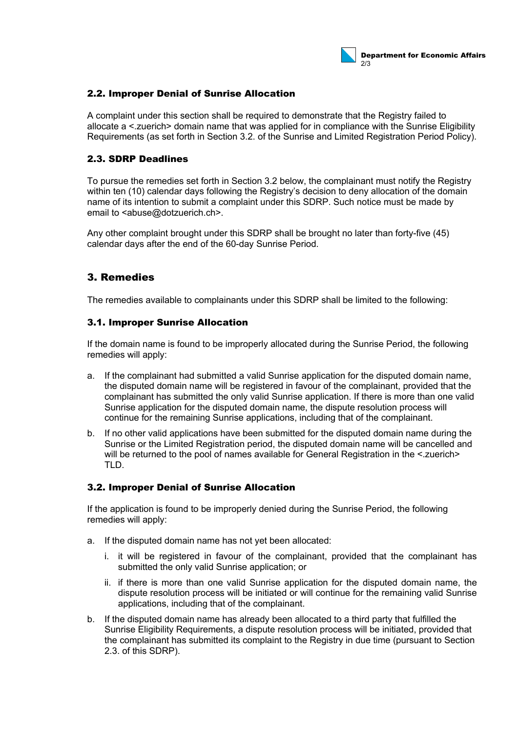

#### 2.2. Improper Denial of Sunrise Allocation

A complaint under this section shall be required to demonstrate that the Registry failed to allocate a <.zuerich> domain name that was applied for in compliance with the Sunrise Eligibility Requirements (as set forth in Section 3.2. of the Sunrise and Limited Registration Period Policy).

#### 2.3. SDRP Deadlines

To pursue the remedies set forth in Section 3.2 below, the complainant must notify the Registry within ten (10) calendar days following the Registry's decision to deny allocation of the domain name of its intention to submit a complaint under this SDRP. Such notice must be made by email to <abuse@dotzuerich.ch>.

Any other complaint brought under this SDRP shall be brought no later than forty-five (45) calendar days after the end of the 60-day Sunrise Period.

### 3. Remedies

The remedies available to complainants under this SDRP shall be limited to the following:

#### 3.1. Improper Sunrise Allocation

If the domain name is found to be improperly allocated during the Sunrise Period, the following remedies will apply:

- a. If the complainant had submitted a valid Sunrise application for the disputed domain name, the disputed domain name will be registered in favour of the complainant, provided that the complainant has submitted the only valid Sunrise application. If there is more than one valid Sunrise application for the disputed domain name, the dispute resolution process will continue for the remaining Sunrise applications, including that of the complainant.
- b. If no other valid applications have been submitted for the disputed domain name during the Sunrise or the Limited Registration period, the disputed domain name will be cancelled and will be returned to the pool of names available for General Registration in the < zuerich> TLD.

#### 3.2. Improper Denial of Sunrise Allocation

If the application is found to be improperly denied during the Sunrise Period, the following remedies will apply:

- a. If the disputed domain name has not yet been allocated:
	- i. it will be registered in favour of the complainant, provided that the complainant has submitted the only valid Sunrise application; or
	- ii. if there is more than one valid Sunrise application for the disputed domain name, the dispute resolution process will be initiated or will continue for the remaining valid Sunrise applications, including that of the complainant.
- b. If the disputed domain name has already been allocated to a third party that fulfilled the Sunrise Eligibility Requirements, a dispute resolution process will be initiated, provided that the complainant has submitted its complaint to the Registry in due time (pursuant to Section 2.3. of this SDRP).